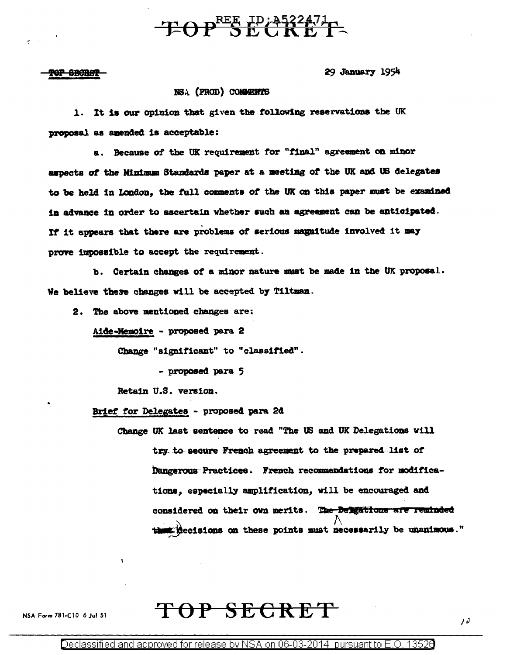## $- E \Theta P^{\text{REE}} \overline{E}$

<del>POP SECRAT</del>

29 January 1954

## NSA (PROD) COMMENTS

1. It is our opinion that given the following reservations the UK proposal as amended is acceptable:

a. Because of the UK requirement for "final" agreement on minor aspects of the Minimum Standards paper at a meeting of the UK and US delegates to be held in London, the full comments of the UK on this paper must be examined in advance in order to ascertain whether such an agreement can be anticipated. If it appears that there are problems of serious magnitude involved it may prove impossible to accept the requirement.

b. Certain changes of a minor nature must be made in the UK proposal. We believe these changes will be accepted by Tiltman.

2. The above mentioned changes are:

Aide-Memoire - proposed para 2

Change "significant" to "classified".

- proposed para 5

Retain U.S. version.

Brief for Delegates - proposed para 2d

Change UK last sentence to read "The US and UK Delegations will try to secure French agreement to the prepared list of Dangerous Practices. French recommendations for modifications, especially amplification, will be encouraged and considered on their own merits. The Delgations are reminded me decisions on these points must necessarily be unanimous."

TOP SECRET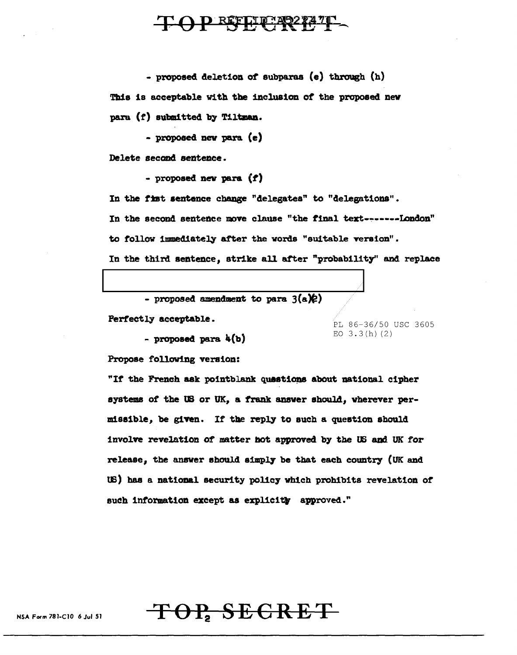## D REFLIP?AQ27471

- proposed deletion of subparas (e) through (h) This is acceptable with the inclusion of the proposed new para  $(f)$  submitted by Tiltman.

- proposed nev para (e)

Delete second sentence.

- proposed new para  $(f)$ 

In the fist sentence change "delegates" to "delegations". In the second sentence move clause "the final text-~-----London" to follow immediately after the words "suitable version".

In the third sentence, strike all after "probability" and replace

|  |  | - proposed amendment to para $3(a)(e)$ |  |  |  |
|--|--|----------------------------------------|--|--|--|
|--|--|----------------------------------------|--|--|--|

Perfectly acceptable.

- proposed para  $4(b)$ 

Propose following version: "If the French ask pointblank questions about national cipher systems of the US or UK, a frank answer should, wherever permissible, be given. If the reply to such a question should involve revelation of matter not approved by the US and UK for

PL 86-36/50 USC 3605

EO  $3.3(h)$  (2)

release, the answer should simply be that each country (UK and US) has a national security policy which prohibits revelation of such information except as explicitly approved."

TOP, SECRET